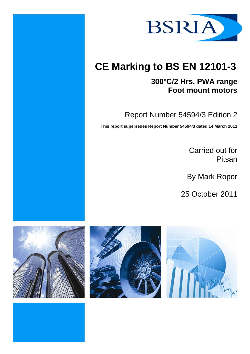

# **CE Marking to BS EN 12101-3**

## **300ºC/2 Hrs, PWA range Foot mount motors**

Report Number 54594/3 Edition 2

**This report supersedes Report Number 54594/3 dated 14 March 2011** 

Carried out for Pitsan

By Mark Roper

25 October 2011





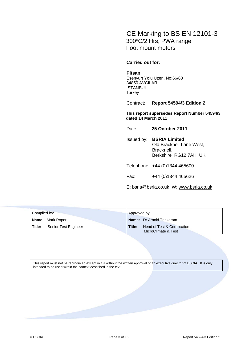### CE Marking to BS EN 12101-3 300ºC/2 Hrs, PWA range Foot mount motors

#### **Carried out for:**

#### **Pitsan**

Esenyurt Yolu Uzeri, No:66/68 34850 AVCILAR ISTANBUL **Turkey** 

Contract: **Report 54594/3 Edition 2** 

**This report supersedes Report Number 54594/3 dated 14 March 2011** 

Date: **25 October 2011**

Issued by: **BSRIA Limited** Old Bracknell Lane West, Bracknell, Berkshire RG12 7AH UK

Telephone: +44 (0)1344 465600

Fax: +44 (0)1344 465626

E: bsria@bsria.co.uk W: www.bsria.co.uk

| Compiled by: |                         | Approved by: |                                                     |
|--------------|-------------------------|--------------|-----------------------------------------------------|
|              | <b>Name:</b> Mark Roper |              | <b>Name:</b> Dr Arnold Teekaram                     |
| Title:       | Senior Test Engineer    | Title:       | Head of Test & Certification<br>MicroClimate & Test |

This report must not be reproduced except in full without the written approval of an executive director of BSRIA. It is only intended to be used within the context described in the text.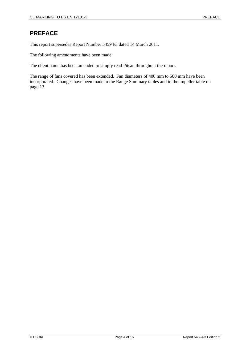### **PREFACE**

This report supersedes Report Number 54594/3 dated 14 March 2011.

The following amendments have been made:

The client name has been amended to simply read Pitsan throughout the report.

The range of fans covered has been extended. Fan diameters of 400 mm to 500 mm have been incorporated. Changes have been made to the Range Summary tables and to the impeller table on page 13.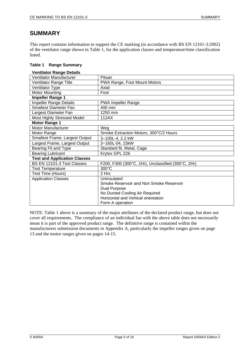#### **SUMMARY**

This report contains information to support the CE marking (in accordance with BS EN 12101-3:2002) of the ventilator range shown in Table 1, for the application classes and temperature/time classification listed.

| Table 1 |  | <b>Range Summary</b> |
|---------|--|----------------------|
|---------|--|----------------------|

| <b>Ventilator Range Details</b>     |                                                    |  |  |  |
|-------------------------------------|----------------------------------------------------|--|--|--|
| Ventilator Manufacturer             | Pitsan                                             |  |  |  |
| Ventilator Range Title              | PWA Range, Foot Mount Motors                       |  |  |  |
| Ventilator Type                     | Axial                                              |  |  |  |
| Motor Mounting                      | Foot                                               |  |  |  |
| <b>Impeller Range 1</b>             |                                                    |  |  |  |
| <b>Impeller Range Details</b>       | <b>PWA Impeller Range</b>                          |  |  |  |
| <b>Smallest Diameter Fan</b>        | 400 mm                                             |  |  |  |
| Largest Diameter Fan                | 1250 mm                                            |  |  |  |
| Most Highly Stressed Model          | 112AX                                              |  |  |  |
| <b>Motor Range 1</b>                |                                                    |  |  |  |
| Motor Manufacturer                  | Weg                                                |  |  |  |
| Motor Range                         | Smoke Extraction Motors, 300°C/2 Hours             |  |  |  |
| Smallest Frame, Largest Output      | $3~100$ L-4, 2.2 kW                                |  |  |  |
| Largest Frame, Largest Output       | 3~160L-04, 15kW                                    |  |  |  |
| Bearing Fit and Type                | Standard fit, Metal, Cage                          |  |  |  |
| <b>Bearing Lubricant</b>            | Krytox GPL 226                                     |  |  |  |
| <b>Test and Application Classes</b> |                                                    |  |  |  |
| BS EN 12101-3 Test Classes          | F200, F300 (300°C, 1Hr), Unclassified (300°C, 2Hr) |  |  |  |
| <b>Test Temperature</b>             | $300^{\circ}$ C                                    |  |  |  |
| Test Time (Hours)                   | 2 Hrs                                              |  |  |  |
| <b>Application Classes</b>          | Uninsulated                                        |  |  |  |
|                                     | Smoke Reservoir and Non Smoke Reservoir            |  |  |  |
|                                     | Dual Purpose                                       |  |  |  |
|                                     | No Ducted Cooling Air Required                     |  |  |  |
|                                     | Horizontal and Vertical orientation                |  |  |  |
|                                     | Form A operation                                   |  |  |  |

NOTE: Table 1 above is a summary of the major attributes of the declared product range, but does not cover all requirements. The compliance of an individual fan with the above table does not necessarily mean it is part of the approved product range. The definitive range is contained within the manufacturers submission documents in Appendix A, particularly the impeller ranges given on page 13 and the motor ranges given on pages 14-15.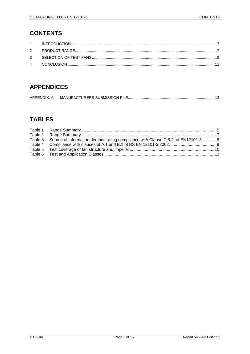### **CONTENTS**

### **APPENDICES**

| APPENDIX: A |  |
|-------------|--|
|             |  |

### **TABLES**

| Table 3 Source of information demonstrating compliance with Clause C.5.2. of EN12101-3 8 |  |
|------------------------------------------------------------------------------------------|--|
|                                                                                          |  |
|                                                                                          |  |
|                                                                                          |  |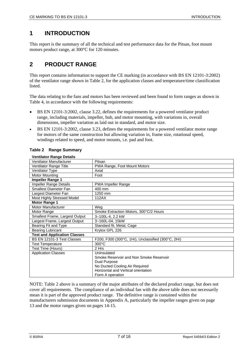### **1 INTRODUCTION**

This report is the summary of all the technical and test performance data for the Pitsan, foot mount motors product range, at 300°C for 120 minutes.

### **2 PRODUCT RANGE**

This report contains information to support the CE marking (in accordance with BS EN 12101-3:2002) of the ventilator range shown in Table 2, for the application classes and temperature/time classification listed.

The data relating to the fans and motors has been reviewed and been found to form ranges as shown in Table 4, in accordance with the following requirements:

- BS EN 12101-3:2002, clause 3.22, defines the requirements for a powered ventilator product range, including materials, impeller, hub, and motor mounting, with variations in, overall dimensions, impeller variation as laid out in standard, and motor size.
- BS EN 12101-3:2002, clause 3.23, defines the requirements for a powered ventilator motor range for motors of the same construction but allowing variation in, frame size, rotational speed, windings related to speed, and motor mounts, i.e. pad and foot.

#### **Table 2 Range Summary**

#### **Ventilator Range Details**

| Ventilator Manufacturer             | Pitsan                                             |  |  |
|-------------------------------------|----------------------------------------------------|--|--|
| Ventilator Range Title              | PWA Range, Foot Mount Motors                       |  |  |
| <b>Ventilator Type</b>              | Axial                                              |  |  |
| Motor Mounting                      | Foot                                               |  |  |
| <b>Impeller Range 1</b>             |                                                    |  |  |
| Impeller Range Details              | <b>PWA Impeller Range</b>                          |  |  |
| <b>Smallest Diameter Fan</b>        | 400 mm                                             |  |  |
| Largest Diameter Fan                | 1250 mm                                            |  |  |
| Most Highly Stressed Model          | 112AX                                              |  |  |
| <b>Motor Range 1</b>                |                                                    |  |  |
| Motor Manufacturer                  | Weg                                                |  |  |
| Motor Range                         | Smoke Extraction Motors, 300°C/2 Hours             |  |  |
| Smallest Frame, Largest Output      | 3~100L-4, 2.2 kW                                   |  |  |
| Largest Frame, Largest Output       | 3~160L-04, 15kW                                    |  |  |
| Bearing Fit and Type                | Standard fit, Metal, Cage                          |  |  |
| <b>Bearing Lubricant</b>            | Krytox GPL 226                                     |  |  |
| <b>Test and Application Classes</b> |                                                    |  |  |
| BS EN 12101-3 Test Classes          | F200, F300 (300°C, 1Hr), Unclassified (300°C, 2Hr) |  |  |
| <b>Test Temperature</b>             | $300^{\circ}$ C                                    |  |  |
| Test Time (Hours)                   | 2 Hrs                                              |  |  |
| <b>Application Classes</b>          | Uninsulated                                        |  |  |
|                                     | Smoke Reservoir and Non Smoke Reservoir            |  |  |
|                                     | Dual Purpose                                       |  |  |
|                                     | No Ducted Cooling Air Required                     |  |  |
|                                     | Horizontal and Vertical orientation                |  |  |
|                                     | Form A operation                                   |  |  |

NOTE: Table 2 above is a summary of the major attributes of the declared product range, but does not cover all requirements. The compliance of an individual fan with the above table does not necessarily mean it is part of the approved product range. The definitive range is contained within the manufacturers submission documents in Appendix A, particularly the impeller ranges given on page 13 and the motor ranges given on pages 14-15.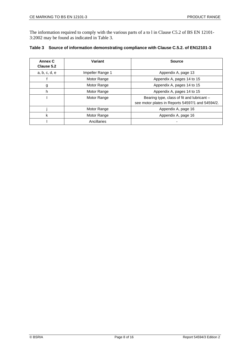The information required to comply with the various parts of a to l in Clause C5.2 of BS EN 12101- 3:2002 may be found as indicated in Table 3.

|  |  | Table 3 Source of information demonstrating compliance with Clause C.5.2. of EN12101-3 |  |
|--|--|----------------------------------------------------------------------------------------|--|
|--|--|----------------------------------------------------------------------------------------|--|

| Annex C<br>Clause 5.2 | Variant          | <b>Source</b>                                                                                  |
|-----------------------|------------------|------------------------------------------------------------------------------------------------|
| a, b, c, d, e         | Impeller Range 1 | Appendix A, page 13                                                                            |
|                       | Motor Range      | Appendix A, pages 14 to 15                                                                     |
| g                     | Motor Range      | Appendix A, pages 14 to 15                                                                     |
| h                     | Motor Range      | Appendix A, pages 14 to 15                                                                     |
|                       | Motor Range      | Bearing type, class of fit and lubricant -<br>see motor plates in Reports 54597/1 and 54594/2. |
|                       | Motor Range      | Appendix A, page 16                                                                            |
| k                     | Motor Range      | Appendix A, page 16                                                                            |
|                       | Ancillaries      |                                                                                                |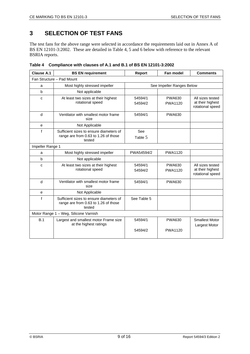### **3 SELECTION OF TEST FANS**

The test fans for the above range were selected in accordance the requirements laid out in Annex A of BS EN 12101-3:2002. These are detailed in Table 4, 5 and 6 below with reference to the relevant BSRIA reports.

| Clause A.1<br><b>BS EN requirement</b>                                                                   |                                              | Report                    | Fan model                       | <b>Comments</b>                                          |  |  |  |
|----------------------------------------------------------------------------------------------------------|----------------------------------------------|---------------------------|---------------------------------|----------------------------------------------------------|--|--|--|
|                                                                                                          | Fan Structure - Pad Mount                    |                           |                                 |                                                          |  |  |  |
| a                                                                                                        | Most highly stressed impeller                | See Impeller Ranges Below |                                 |                                                          |  |  |  |
| b                                                                                                        | Not applicable                               |                           |                                 |                                                          |  |  |  |
| At least two sizes at their highest<br>C<br>rotational speed                                             |                                              | 54594/1<br>54594/2        | <b>PWA630</b><br><b>PWA1120</b> | All sizes tested<br>at their highest<br>rotational speed |  |  |  |
| d                                                                                                        | Ventilator with smallest motor frame<br>size | 54594/1                   | <b>PWA630</b>                   |                                                          |  |  |  |
| e                                                                                                        | Not Applicable                               |                           |                                 |                                                          |  |  |  |
| $\mathbf f$<br>Sufficient sizes to ensure diameters of<br>range are from 0.63 to 1.26 of those<br>tested |                                              | See<br>Table 5            |                                 |                                                          |  |  |  |
| Impeller Range 1                                                                                         |                                              |                           |                                 |                                                          |  |  |  |
| a                                                                                                        | Most highly stressed impeller                | PWA54594/2                | <b>PWA1120</b>                  |                                                          |  |  |  |
| b<br>Not applicable                                                                                      |                                              |                           |                                 |                                                          |  |  |  |
| At least two sizes at their highest<br>C<br>rotational speed                                             |                                              | 54594/1<br>54594/2        | <b>PWA630</b><br><b>PWA1120</b> | All sizes tested<br>at their highest<br>rotational speed |  |  |  |
| d<br>Ventilator with smallest motor frame<br>size                                                        |                                              | 54594/1                   | <b>PWA630</b>                   |                                                          |  |  |  |
| e                                                                                                        | Not Applicable                               |                           |                                 |                                                          |  |  |  |
| $\mathbf f$<br>Sufficient sizes to ensure diameters of<br>range are from 0.63 to 1.26 of those<br>tested |                                              | See Table 5               |                                 |                                                          |  |  |  |
|                                                                                                          | Motor Range 1 - Weg, Silicone Varnish        |                           |                                 |                                                          |  |  |  |
| B.1<br>Largest and smallest motor Frame size<br>at the highest ratings                                   |                                              | 54594/1                   | <b>PWA630</b>                   | <b>Smallest Motor</b><br>Largest Motor                   |  |  |  |
|                                                                                                          |                                              | 54594/2                   | <b>PWA1120</b>                  |                                                          |  |  |  |

**Table 4 Compliance with clauses of A.1 and B.1 of BS EN 12101-3:2002**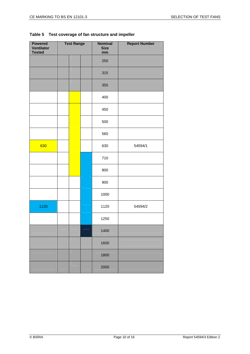|  | Table 5 Test coverage of fan structure and impeller |
|--|-----------------------------------------------------|
|--|-----------------------------------------------------|

| <b>Powered</b><br><b>Ventilator</b><br><b>Tested</b> | <b>Test Range</b> |  | <b>Nominal</b><br><b>Size</b><br>mm | <b>Report Number</b> |         |
|------------------------------------------------------|-------------------|--|-------------------------------------|----------------------|---------|
|                                                      |                   |  |                                     | 250                  |         |
|                                                      |                   |  |                                     | 315                  |         |
|                                                      |                   |  |                                     | 355                  |         |
|                                                      |                   |  |                                     | 400                  |         |
|                                                      |                   |  |                                     | 450                  |         |
|                                                      |                   |  |                                     | 500                  |         |
|                                                      |                   |  |                                     | 560                  |         |
| 630                                                  |                   |  |                                     | 630                  | 54594/1 |
|                                                      |                   |  |                                     | 710                  |         |
|                                                      |                   |  |                                     | 800                  |         |
|                                                      |                   |  |                                     | 900                  |         |
|                                                      |                   |  |                                     | 1000                 |         |
| 1120                                                 |                   |  |                                     | 1120                 | 54594/2 |
|                                                      |                   |  |                                     | 1250                 |         |
|                                                      |                   |  |                                     | 1400                 |         |
|                                                      |                   |  |                                     | 1600                 |         |
|                                                      |                   |  |                                     | 1800                 |         |
|                                                      |                   |  |                                     | 2000                 |         |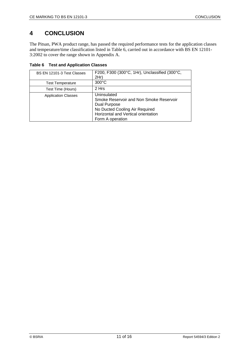### **4 CONCLUSION**

The Pitsan, PWA product range, has passed the required performance tests for the application classes and temperature/time classification listed in Table 6, carried out in accordance with BS EN 12101- 3:2002 to cover the range shown in Appendix A.

|  |  | <b>Table 6 Test and Application Classes</b> |  |
|--|--|---------------------------------------------|--|
|--|--|---------------------------------------------|--|

| BS EN 12101-3 Test Classes | F200, F300 (300°C, 1Hr), Unclassified (300°C,<br>2Hr)                                                                                                               |
|----------------------------|---------------------------------------------------------------------------------------------------------------------------------------------------------------------|
| <b>Test Temperature</b>    | $300^{\circ}$ C                                                                                                                                                     |
| Test Time (Hours)          | 2 Hrs                                                                                                                                                               |
| <b>Application Classes</b> | Uninsulated<br>Smoke Reservoir and Non Smoke Reservoir<br>Dual Purpose<br>No Ducted Cooling Air Required<br>Horizontal and Vertical orientation<br>Form A operation |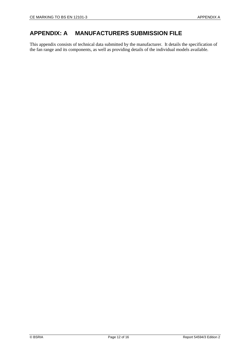### **APPENDIX: A MANUFACTURERS SUBMISSION FILE**

This appendix consists of technical data submitted by the manufacturer. It details the specification of the fan range and its components, as well as providing details of the individual models available.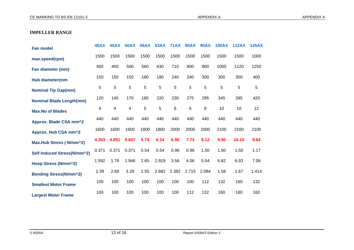#### **IMPELLER RANGE**

| <b>Fan model</b>                | <b>40AX</b> | <b>45AX</b> | <b>50AX</b> | <b>56AX</b>    | <b>63AX</b> | <b>71AX</b> | <b>80AX</b> | <b>90AX</b> | <b>100AX</b> | <b>112AX</b> | <b>125AX</b> |
|---------------------------------|-------------|-------------|-------------|----------------|-------------|-------------|-------------|-------------|--------------|--------------|--------------|
| max.speed(rpm)                  | 1500        | 1500        | 1500        | 1500           | 1500        | 1500        | 1500        | 1500        | 1500         | 1500         | 1000         |
| Fan diameter (mm)               | 400         | 450         | 500         | 560            | 630         | 710         | 800         | 900         | 1000         | 1120         | 1250         |
| Hub diameter(mm                 | 150         | 150         | 150         | 180            | 180         | 240         | 240         | 300         | 300          | 300          | 400          |
| <b>Nominal Tip Gap(mm)</b>      | 5           | 5           | 5           | 5              | 5           | 5           | 5           | 5           | 5            | 5            | 5            |
| <b>Nominal Blade Length(mm)</b> | 120         | 145         | 170         | 185            | 220         | 230         | 275         | 295         | 345          | 395          | 420          |
| <b>Max.No of Blades</b>         | 4           | 4           | 4           | $\overline{5}$ | 5           | $\,6\,$     | 6           | 8           | 10           | 10           | 12           |
| Approx. Blade CSA mm^2          | 440         | 440         | 440         | 440            | 440         | 440         | 440         | 440         | 440          | 440          | 440          |
| Approx. Hub CSA mm^2            | 1600        | 1600        | 1600        | 1800           | 1800        | 2000        | 2000        | 2000        | 2100         | 2100         | 2100         |
| Max.Hub Stress (N/mm^2)         | 4.353       | 4.851       | 5.607       | 5.74           | 6.14        | 6.90        | 7.73        | 9.12        | 9.90         | 10.10        | 9.64         |
| Self Induced Stress(N/mm^2)     | 0.371       | 0.371       | 0.371       | 0.54           | 0.54        | 0.96        | 0.96        | 1.50        | 1.50         | 1.50         | 1.17         |
| Hoop Stress (N/mm^2)            | 1.592       | 1.79        | 1.946       | 2.65           | 2.919       | 3.56        | 4.06        | 5.54        | 6.82         | 6.93         | 7.06         |
| Bending Stress(N/mm^2)          | 2.39        | 2.69        | 3.29        | 2.55           | 2.682       | 2.382       | 2.715       | 2.084       | 1.58         | 1.67         | 1.414        |
| <b>Smallest Motor Frame</b>     | 100         | 100         | 100         | 100            | 100         | 100         | 100         | 112         | 132          | 160          | 132          |
| <b>Largest Motor Frame</b>      | 100         | 100         | 100         | 100            | 100         | 100         | 112         | 132         | 160          | 180          | 160          |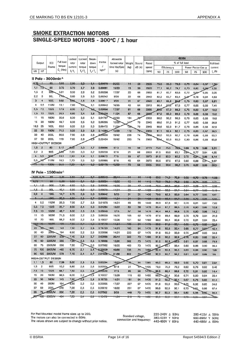### **SMOKE EXTRACTION MOTORS** SINGLE-SPEED MOTORS - 300°C / 1 hour

|               |                         |                                 |                     | Locked  | Locked | Break-              |                       | Allowable     |        |        |                | <b>400V</b>     |       |      |                         |                    |         |                  |
|---------------|-------------------------|---------------------------------|---------------------|---------|--------|---------------------|-----------------------|---------------|--------|--------|----------------|-----------------|-------|------|-------------------------|--------------------|---------|------------------|
| Output        |                         | IEC                             | Full load<br>torque | rotor   | rotor  | down                | Inertia               | locked rotor  | Weight | Sound  | Rated          | % of full load  |       |      |                         |                    |         | <b>Full load</b> |
|               |                         | Frame                           | $C_{n}$ (Nm)        | current | torque | torque              | J<br>kgm <sup>2</sup> | time Hot/Cold | (kg)   | dB (A) | speed<br>(rpm) | Efficiency η    |       |      |                         | Power Factor Cos o |         | current          |
| kW            | HP                      |                                 |                     | $1/I_n$ | т,/т,  | $T_b/T_n$           |                       | (s)           |        |        |                | 50              | 75    | 100  | 50                      | 75                 | 100     | $I_n(A)$         |
|               |                         | Il Pole - 3000min <sup>-1</sup> |                     |         |        |                     |                       |               |        |        |                |                 |       |      |                         |                    |         |                  |
| 0.75          |                         | 80                              | 2,55                | 5,80    | 2,9    | 3,1                 | 0,00070               | 26/65         | 14     | -59    | 2805           | 75,5            | 80,0  | 79,9 | 0,76                    | 0,84               | 0,67    | 1,56             |
| 1,1           | 1,5                     | 80                              | 3,73                | 5,70    | 2,7    | 2,9                 | 0,00091               | 15/33         | 15     | 59     | 2820           | 77,1            | 80,2  | 79,7 | 0,70                    | 0,80               | 0,86    | 2,32             |
| 1,5           | $\overline{\mathbf{c}}$ | 909                             | 5,01                | 6,50    | 2,6    | 3,2                 | 0,00206               | 17/37         | 20     | 68     | 2860           | 81,7            | 83,7  | 83,6 | 0,72                    | 0.84               | 0,85    | 3,05             |
| 2,2           | 3                       | 90L                             | 7,40                | 6,60    | 2,8    | 3,0                 | 0,00242               | 9/20          | 22     | 68     | 2840           | 82,2            | 83,7  | 83,4 | 0.67                    | 0,78               | 0,84    | 4,53             |
| 3             | 4                       | <b>100L</b>                     | 9,92                | 6,80    | 2,6    | 2,8                 | 0,00617               | 9/20          | 31     | 67     | 2890           | 83.7            | 85,8  | 85,6 | 0,75                    | 0,83               | 0,87    | 5,81             |
| 4             | 5,5                     | 112M                            | 13,1                | 7,80    | 27     | 3,1                 | 0,00842               | 16/35         | 42     | 64     | 2910           | 86,4            | 87.5  | 87,5 | 0,77                    | 0,85               | 0,88    | 7,41             |
| 5,5           | 7,5                     | <b>132S</b>                     | 17,9                | 8,00    | 2,7    | 3,2                 | 0,02056               | 17/37         | 61     | 68     | 2935           | 83,9            | 87,0  | 88,3 | 0,75                    | 0,83               | 0,87    | 10,3             |
| 7,5           | 10                      | <b>132S</b>                     | 24,5                | 6,80    | 2,4    | 2,8                 | 0,02430               | 11/24         | 67     | 68     | 2920           | 87,0            | 89,0  | 89,3 | 0,78                    | 0,86               | 0,89    | 13,6             |
| 11            | 15                      | 160M                            | 35,6                | 8,30    | 2,6    | 3,1                 | 0,04707               | 15/33         | 104    | 78     | 2950           | 88,0            | 90,2  | 90,3 | 0,78                    | 0,85               | 0,88    | 19,8             |
| 15            | 20                      | <b>160M</b>                     | 48,7                | 8,30    | 2,5    | 3,2                 | 0,05295               | 12/26         |        | 70     | 2945           | 89,6            | 91,3  | 91,2 | 0,77                    | 0,85               | 0,88    | 26,9             |
| 18,5          | 25                      | 160L                            | 60,0                | 8,20    | 2,6    | 3,3                 | 0,06472               | 11/24         | 126    | 70     | 2945           | 90,6            | 92,0  | 91,7 | 0,78                    | 0,85               | 0,88    | 32,9             |
| 22            | 30                      | <b>180M</b>                     | 71,3                | 8,20    | 2,8    | 2,8                 | 0,14364               | 13/29         | 172    | $70 -$ | 2950           | 91,1            | 92,4  | 92,1 | 0,75                    | 0,83               | 0,87    | 39,5             |
| 30            | 40                      | 200L                            | 96,8                | 7,90    | 2,8    | 2,6                 | 0,20630               | 19/42         | 239    | 74     | 2960           | 90,0            | 92,0  | 92,7 | 0,78                    | 0,86               | 0,88    | 53,1             |
| 37            | 50                      | 200L                            | 119                 | 7,60    | 2,8    | 2,9                 | 0,22424               | 19/42         | 253    | 74     | 2960           | 92-4            | 93,0  | 93,0 | 0,80                    | 0,86               | 0,88    | 63,8             |
|               |                         | <b>HIGH-OUTPUT DESIGN</b>       |                     |         |        |                     |                       |               |        |        |                |                 |       |      |                         |                    |         |                  |
| 1,5           | $\overline{2}$          | 80                              | 5,17                | 6,00    | 3,0    | 2,7                 | 0,00096               | 6/13          | 16     | 59     | 2770           | 75,0            | 75,5  | 76,9 | 0,68                    | 0,79               | 0,86    | 3,31             |
| 2,2           | 3                       | 90S                             | 288                 | 7,00    | 3,0    | 3,2                 | 0,00230               | 8/18          | 21     | 68     | 2850           | 81,5            | 83,0  | 83,1 | 0.64                    | 0,77               | 0.84    | 4,55             |
| 4             | 5,5                     | 10 <sub>0</sub>                 | 13,3                | 7,50    | 2,9    | 3,1                 | 0.00672               | 7/15          | 33     | 67     | 2870           | 81,0            | 82,3  | 82,5 | 0,72                    | $0.8 +$            | 0,86    | 8,14             |
| 5,5           |                         | 112M                            | 18,3                | 7,70    | 2,5    | 3,0                 | 0,00995               | 8/18          | 45     | 64     | 2870           | 86,5            | 87,5  | 87,5 | 0,82                    | 0,88               | 0,91    | 9,97             |
|               | 45                      | 132M                            | 35,9                | 7,00    | 2,4    | 0,2                 | 0,03170               | 13/29         | 79     | 68     | 2925           | 90,0            | 90,6  | 90,2 | 0,73                    | 0,82               | 0,66    | 20,5             |
|               |                         | IV Pole - 1500min-1             |                     |         |        |                     |                       |               |        |        |                |                 |       |      |                         |                    |         |                  |
| $0.55 - 0.75$ |                         | 80                              |                     |         | 2.5    |                     | 0.00242               |               |        |        |                |                 |       |      |                         |                    |         |                  |
|               |                         |                                 | 3,65                | 5,50    |        | 2.7                 |                       | 20/44         | 14     |        | 1440           | 69,0            | 74,0  | 75.0 | $-0.58$                 | $-0.70$            | $-0,78$ | $+36$            |
| 0,75<br>1.1   |                         | 80<br>90S                       | 5,06                | 5,50    | 2,4    | 2.6                 | 0,00294               | 16/85         | 15     |        | 1415           | 76,0            | -78,6 | 76,2 | 0,62                    | 0.74               | $-0.83$ | 1,71             |
|               |                         |                                 | 7,30                | 6,50    | 3,0.   | 2,8                 | 0,00505               | 16/35         | 20.    | 47     | 1440           | 76,0            | 80.0  | 80,6 | 0,57                    | $-0.69$            | 0,77    | 2,56             |
| $1 - 5$       |                         | 901                             | $+0.1$              | 5,90    | 2,8    | 27                  | 0,00673               | 14/31         | 23     | 47.    | 1420           | <del>80,3</del> | 82,3  | 84,7 | <del>0,6</del> 4        | 0,77               | 0,83    | 3,10             |
| 2,2<br>Q      | 3                       | 100L                            | 14,7                | 6,70    | 2,8    | 3,0                 | 0,00842               | 9/20          | 31     | 51     | 1430           | 79,8            | 82,3  | 83,0 | 0,64                    | 0,77               | 0,83    | 4,61             |
|               |                         | 1.00L                           | 20.2                | 6,50    | 2,8    | 2,7                 | 0,00995               | 11/24         | 34     | 54     | 1420           | 83,8            | 85,4  | 84,7 | <del>0,68</del>         | <del>0,7</del> 9   | 0,86    | 5,94             |
| 4             | 5,5                     | 112M                            | 26,5                | 7,00    | 2,7    | 2,8                 | 0,01875               | 14/31         | 46     | 55     | 1440           | 86,9            | 87,8  | 87,1 | 0,70                    | 0,81               | 0,87    | 7,62             |
| 5,5           | 7,5                     | <b>132S</b>                     | 35,7                | 8,00    | 2,4    | 3,0                 | 0,04264               | 10/22         | 60     | 58     | 1470           | 85,4            | 87,7  | 88,5 | 0,70                    | 0,80               | 0,85    | 10,6             |
| 7,5           | 10                      | 132M                            | 48,7                | 8,00    | 2,5    | 2,8                 | 0,05040               | 7/15          | 67     | 58     | 1470           | 86,4            | 88,4  | 88,6 | 0,70                    | 0,80               | 0,86    | 14,2             |
| 11            | 15                      | 160M                            | 71,5                | 6,00    | 2,2    | 2,5                 | 0,08030               | 16/35         | 105    | 62     | 1470           | 87,8            | 89,4  | 89,9 | 0,70                    | 0,79               | 0,84    | 21,0             |
| 15            | 20                      | 160L                            | 98,2                | 6,00    | 2,2    | 2,4                 | 0,10037               | 12/26         | 121    | 62     | 1460           | 89,0            | 90,4  | 90,6 | 0,72                    | 0,81               | 0,84    | 28,4             |
| 48,6          | 05                      | <b>180M</b>                     | 420                 | 7,50    | 27     | $\theta$ , $\theta$ | 0,16146               | 44/24         | 100    | 64     | 1475           | 89,8            | -91,5 | 92,4 | 0,65                    | $-0,75$            | 0,82    | 05.2             |
| 22            | 30                      | <b>180L</b>                     | 143                 | 7,50    | 2,7    | 2,8                 | 0,19733               | 14/31         | 183    | 64     | 1470           | 91,6            | 92,5  | 92.4 | 0,68                    | 0,77               | 0.84    | 42,4             |
| 30            | 40                      | 200 <sub>b</sub>                | 194                 | 6,50    | 2,2    | 2,5                 | 0,33096               | 14/31         | 233    | 67     | 1475           | 91,8            | 93,0  | 93,0 | 0,75                    | 0.82               | 0,85    | 54,8             |
| 37            | 50                      | 225S/M                          | 239                 | 7,40    | 2,3    | 2,7                 | 0,62988               | 20/44         | 350    | 70     | 1480           | 91,6            | 92,2  | 92,8 | 9,76                    | 0,85               | 0,88    | 65,4             |
| 45            | 60                      | 225S/M                          | 292                 | 7.00    | 2,3    | 2,5                 | 0.76986               | 12/26         | 382    | 70     | 1475           | 91,0            | 92.9  | 83.5 | 0,81                    | 0,87               | 0,88    | 78,9             |
| 55            | 75                      | 250S/M                          | 356                 | 7,50    | 2,5    | 2,6                 | 0,97982               | 16/35         | 460    | 70     | 1475           | 92,7            | 93,1  | 93,4 | 0,80                    | 0,86               | 0,90    | 94,4             |
| 75            | 100                     | <b>280S/M</b>                   | 483                 | 6,70    | 2,1    | 2,4                 | 2,32859               | 40/88         | 735    | 74     | 1485           | 92,4            | 93,8  | 94,3 | 0,83                    | 0,88               | 0,90    | 128              |
| 90            | 125                     | 280S/M                          | 579                 | 7,10    | 2,4    | 2,7                 | 2,81036               | 31/68         | 802    | 74     | 1485           | 92,3            | 93,7  | 94,2 | 0,81                    | 0,87               | 0,89    | 155              |
|               |                         | <b>HIGH-OUTPUT DESIGN</b>       |                     |         |        |                     |                       |               |        |        |                |                 |       |      |                         |                    |         |                  |
| 1,1           | 1,5                     | 80                              | 7,59                | 5,00    | 2,3    | 2,3                 | 0,00294               | 10/22         | 15.    | 44     | 1385           | 65,0            | 68,5  | 69,0 | 0,55                    | 0,70               | 0,81    | 2,84             |
| 1,5           | 2                       | 90S                             | 10,2                | 5,80    | 2,6    | 2,6                 | 0,00504               | 8/18          | 21     | 47     | 1405           | 73,0            | 75,0  | 76,2 | 0,62                    | 0,76               | 0,82    | 3,46             |
| 7,5           | 10                      | <b>132S</b>                     | 48,7                | 7,50    | 2,5    | 2,8                 | 0,05040               | 7/15          | 65     | 58     | 1470           | 85,5            | 88,4  | 88,6 | 0,72                    | 0,81               | 0,85    | 14,4             |
| 15            | 20                      | 160M                            | 98,5                | 6,00    | 2,2    | 2,4                 | 0,10037               | 13/29         | 115    | 62     | 1455           | 89,0            | 90,4  | 90,6 | 0,71                    | 0,80               | 0,84    | 28,4             |
| 22            | 30                      | <b>180M</b>                     | 143                 | 7,50    | 2,8    | 2,8                 | 0,19733               | 14/31         | 181    | 64     | 1470           | 91,0            | 92,2  | 92,4 | 0,67                    | 0,78               | 0,83    | 41,4             |
| 30            | 40                      | 200M                            | 194                 | 6,50    | 2,2    | 2,5                 | 0,33095               | 17/37         | 227    | 67     | 1475           | 91,8            | 93,0  | 93,0 | 0.75                    | 0,82               | 0,85    | 54,8             |
| 37            | 50                      | <b>200L</b>                     | 240                 | 7,00    | 2,3    | 2,5                 | 0,38612               | 10/22         | 251    | 67     | 1470           | 90,8            | 92,0  | 92,1 | 0,73                    | 0,81               | 0,86    | 67,4             |
| 55            | 75                      | 225S/M                          | 356                 | 7,00    | 2,5    | 2,6                 | 0,97982               | 9/20          | 448    | 70     | 1475           | 92,7            | 93,3  | 93,4 | 0,80                    | 0,88               | 0,90    | 94,4             |
|               |                         | 250S/M                          | 484                 | 7,20    | $2,4-$ | $2,6-$              | 1,15479               | 11/24         | 510-   | -70-   | 1480=          | $-92.5-$        |       |      | $-93.5 - 93.7 - 0.79 -$ | $-0.85-$           |         | Tas.             |

| For Pad Mounted model frame sizes up to 200.<br>The motors can also be connected in 60Hz.<br>The values shown are subject to change without prior notice. | Standard voltage,<br>connection and frequency: | 220-240V A 50Hz<br>380-415V Y 50Hz<br>440-480V Y 60Hz | 380-415V A 50Hz<br>660-690V Y 50Hz |
|-----------------------------------------------------------------------------------------------------------------------------------------------------------|------------------------------------------------|-------------------------------------------------------|------------------------------------|
|                                                                                                                                                           |                                                |                                                       | 440-480V A 60Hz                    |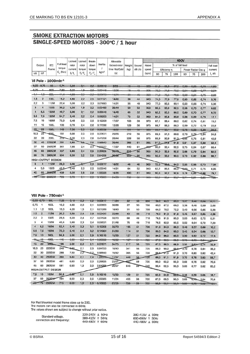#### **SMOKE EXTRACTION MOTORS** SINGLE-SPEED MOTORS - 300°C / 1 hour

|        |               |                                    |            | Locked  | Locked                | Break-        |                  | Allowable     |       |        | 400V           |      |              |      |                    |         |      |          |
|--------|---------------|------------------------------------|------------|---------|-----------------------|---------------|------------------|---------------|-------|--------|----------------|------|--------------|------|--------------------|---------|------|----------|
| Output | <b>IEC</b>    | <b>Full load</b>                   | rotor      | rotor   | down                  | Inertia       | locked rotor     | Weight        | Sound | Rated  | % of full load |      |              |      |                    |         |      |          |
|        |               | Frame                              | torque     | current | torque                | torque        |                  | time Hot/Cold | (kg)  | dB (A) | speed          |      | Efficiency η |      | Power Factor Cos o |         |      | current  |
| kW     | HP            |                                    | $C_n$ (Nm) | 1/1     | $T_{\rm r}/T_{\rm a}$ | $T_{b}/T_{n}$ | kgm <sup>2</sup> | (s)           |       |        | (rpm)          | 50   | 75           | 100  | 50                 | 75      | 100  | $I_n(A)$ |
|        |               | VI Pole - $1000$ min <sup>-1</sup> |            |         |                       |               |                  |               |       |        |                |      |              |      |                    |         |      |          |
|        | $0,55 - 0,75$ | -80-                               | 5.74       | 5,30    | $^{\circ}$            | 2.2           | 0.00842          | 9/20          | 16    | 12     | 920            | 61,0 | 66,0         | 67,0 | 0,50               | $-0.65$ | 0,74 | $+60-$   |
| 0.75   |               | 90S                                | 7.92       | 5.20    | مد                    | 20            | 0.00448          | 12/26         | 19    |        | 995            | 70.0 | 74.0         | 70,0 |                    | 0,68    | 0.77 | $2,0+$   |
| $-1,1$ | $+5$          | $\theta \theta$                    | $+ + 4$    | 4,80    | $-2,3$                | 22            | 0:00678-         | 14/01         | 28    | 45     | 920            | 74,0 | 73,5         | 78,5 | $-0.50$            | $-0.64$ | 0,75 | 2,88     |
| 1,5    | 2             | <b>100L</b>                        | 15,2       | 4,80    | 2,2                   | 2,5           | 0.01121          | 18/40         | 29    | 44     | 940            | 74,0 | 77,0         | 77,5 | 0,53               | 0,65    | 0,74 | 3,78     |
| 2,2    | 3             | 112M                               | 22,4       | 5.00    | 2,2                   | 2,3           | 0.01683          | 14/31         | 35    | 48     | 940            | 77,0 | 80,5         | 80.1 | 0,53               | 0,66    | 0,74 | 5,36     |
| 3      | 4             | <b>132S</b>                        | 30,2       | 5,30    | 1,9                   | 2,2           | 0.03489          | 20/44         | 53    | 52     | 950            | 80,5 | 83,0         | 82,5 | 0,58               | 0,70    | 0,77 | 6,82     |
| 4      | 5,5           | 132M                               | 40,7       | 6,00    | 2,1                   | 2,2           | 0,05040          | 18/40         | 65    | 52     | 940            | 82,2 | 85,5         | 86,0 | 0,60               | 0,70    | 0,77 | 8,72     |
| 5,5    | 7,5           | 132M                               | 54,7       | 6,40    | 2,2                   | 2,4           | 0,06203          | 14/31         | 73    | 52     | 960            | 84,0 | 85,8         | 85,8 | 0,56               | 0,69    | 0,76 | 12,1     |
| 7,5    | 10            | 160M                               | 73,9       | 6,40    | 2,3                   | 2,9           | 0,12209          | 17/37         | 103   | 56     | 970            | 87.1 | 88.4         | 88.0 | 0.62               | 0.74    | 0,81 | 15,2     |
| 11     | 15            | <b>160L</b>                        | 108        | 6,70    | 2,4                   | 2,6           | 0,17596          | 12/26         | 129   | 56     | 975            | 86,7 | 88,3         | 88.3 | 0,59               | 0,72    | 0,79 | 22,8     |
| 15     | 20            | 160L                               | 149        | 7,50    | 2,5                   | 2,6           | 0,36938          | 10/22         | 181   | 56     | 965            | 69,1 | 90,1         | 69,8 | 0,78               | 0,86    | 0,89 | 26,9-    |
| 18,5   | 25            | 800L                               | 181        | 6.00    | 2,3                   | 2,5           | 0,37671          | 25/55         | 219   | 58     | 975            | 89,3 | 91,3         | 89.8 | 0,70               | 0.79    | 0.84 | 34,8     |
| 22     | 30            | <b>200L</b>                        | 21B        | 6,30    | 2,3                   | 2,6           | 0,41258          | 20/44         | 228   | 58     | 975            | 88,9 | 90,9         | 91.3 | 0.65               | 0.75    | 0.81 | 42.8     |
| 30     | 40            | 225S/M                             | 291        | 6,80    | 2,5                   | 2,6           | 0,98843          | 20/44         | 366   | 61     | 985            | 91,0 | <b>91.8</b>  | 91,8 | 0,81               | 0.87    | 0,88 | 53,4     |
| 37     | 50            | 250S/M                             | 361        | 7,90    | 2,4                   | 2,4           | 1,22377          | 17/37         | 440   | 61     | 980            | 90,0 | 92,4         | 92,5 | 0.75               | 0.84    | 0.87 | 66,4     |
| 45     | 60            | 280S/M                             | 437        | 6,80    | 2.4                   | 2,5           | 2,29825          | 33/73         | 610   | 66     | 985            | 90,0 | 92,0         | 92,6 | 0,68               | 0.78    | 0,84 | 83,5     |
| 55     | 75            | <b>280S/M</b>                      | 534        | 6,30    | 2,2                   | 2,5           | 2,64298          | 39/66         | 655   | 66     | 985            | 92,0 | 93,2         | 93,5 | 0.73               | 0,82    | 0.86 | 98,7     |
|        |               | HIGH-OUTPUT DESIGN                 |            |         |                       |               |                  |               |       |        |                |      |              |      |                    |         |      |          |
| 3      | 4             | 112M                               | 29,9       | 6,30    | 2,1                   | 2,3           | 0,02617          | 10/22         | 46    | 48     | 960            | 72,0 | 0.86         | 84,0 | 0,55               | 0,66    | 0,73 | 7,06     |
| 4      | 5.5           | <b>132S</b>                        | 40.7       | 6,40    | 2,3                   | 2,5           | 0,05040          | 14/31         | 64    | 52     | 940            | 82,2 | 85,5         | 86,0 | 0a.0               | 0,71    | 0.75 | 8,95     |
| 45     | 60            | 250S/M                             | 439        | 8,30    | 2,6                   | 2,8           | 1,55325          | 16/35         | 490   | 61     | 980            | 90,0 | 92,2         | 92,6 | 0,78               | 0,83    | 0.88 | 79,7     |
|        | $+00-$        | -2806/M                            | 728        | 6,70    | 2,1                   | 2,9           | 3.10269          | 24/59         | 702   | $-66$  | 985            | 92,0 | 99, 4        | 93.7 | 0.71               | $-0.81$ | 0.05 | —T⊟6     |

#### VIII Pole - 750min<sup>-1</sup>

|             | 0,55 0,75 | SOL                       | 7,62 | 5,10 | 2,3        | 2,2  | 0,00617   | 11/24 | 22  | 43 | 690 | 56,0    | -63,5 | 65,0    | 0,37    | 0,48          | $-0,58$ | 2,11  |
|-------------|-----------|---------------------------|------|------|------------|------|-----------|-------|-----|----|-----|---------|-------|---------|---------|---------------|---------|-------|
| 0.75        |           | <b>100L</b>               | 10,2 | 4,60 | 2,0        | 2.1  | 0.00953   | 30/66 | 27  | 50 | 700 | 60,0    | 67,0  | 69,0    | 0.38    | 0,48          | 0,59    | 2,66  |
| 1,1         | .5        | 100L                      | 15,0 | 4,20 | 1,5        | 2,1  | 0.01289   | 18/40 | 31  | 50 | 700 | 64.0    | 70.0  | 72,2    | 0.43    | 0.56          | 0.65    | 3,38  |
| 1.5         | 2         | 112M                      | 20,2 | 5,50 | 2,4        | 2.9  | 0.02430   | 22/48 | 43  | 46 | 710 | 76,0    | 81,3  | 81,6    | 0,45    | 0,57          | 0,65    | 4,08  |
| 2,2         | з         | <b>132S</b>               | 29,6 | 6,20 | 2.4        | 2.7  | 0,07528   | 32/70 | 68  | 48 | 710 | 78,5    | 81,5  | 83,0    | 0,53    | 0,63          | 0,72    | 5,31  |
| з           | 4         | 132M                      | 40.4 | 5,80 | 2.3        | 2.4  | 0.08531   | 21/46 | 75  | 48 | 710 | 76,5    | 82,9  | 83,5    | 0,52    | 0,64          | 0,72    | 7,20  |
| 4           | 5,5       | <b>160M</b>               | 52,4 | 5,40 | 2,3        | 3,1  | 0,12209   | 32/70 | 105 | 51 | 730 | 81,3    | 84,3  | 86,0    | 0,46    | 0,57          | 0,66    | 10,2  |
| 5,5         | 7,5       | <b>160M</b>               | 72,0 | 5,40 | 2,4        | 3,2  | 0.14364   | 24/53 | 114 | 51 | 730 | 83.0    | 84,0  | 85,0    | 0.43    | 0,54          | 0,68    | 13,7  |
| 7.5         | 10        | <b>160L</b>               | 98,8 | 5,00 | 2,1        | 2.8  | 0,16519   | 15/33 | 127 | 51 | 725 | 84.0    | 86.0  | 85.5    | 0,50    | 0,63          | 0,72    | 17,6  |
|             | ₩         | $+80+$                    | 445  | 6,80 | n.n<br>هنه | 2.4  | 0,60888   | 10/22 | 467 | 64 | 725 | $070 -$ | 88,5  | 88,8    | $-0.70$ | 0,70          | 0,84    | لمسمد |
| 15          | 20        | 2001                      | 198  | 5,00 | 2,0        | 2.1  | 0,37671   | 34/75 | 217 | 53 | 725 | 87,0    | 88,5  | 88,9    | 0.55    | $0.67 -$      | 0,74    | 32,9  |
| 18.5        | 25        | 225S/M                    | 240  | 6,90 | 2,1        | 2.5  | 0.84723   | 18/40 | 341 | 56 | 735 | 88,3    | 90.0  | 89.8    | 0.70    | 0.78          | 0.84    | 35,2  |
| 22          | 30        | 225S/M                    | 288  | 7,50 | 2,2        | 22   | 0,98843   | 19/42 | 365 | 56 | 730 | 88.8    | 91.0  | 91.3    | 0.70    | 0,80          | 0,82    | 42,4  |
| 30          | 40        | 250S/M                    | 393  | 6,80 | 2,1        | 2,4  | $.22377-$ | 17/37 | 440 | 56 | 730 | 89,0    | 91,1  | 91,8    | 0,70    | 0,78          | 0,83    | 56,7  |
| 37          | 50        | 280S/M                    | 481  | 6,80 | 2,0        | 2,0  | 2,29825   | 23/51 | ണ   | 59 | 735 | 90,0    | 92,2  | 92,3    | 0.68    | 0.78          | 0,82    | 70,6  |
| 45          | 60        | 280S/M                    | 581  | 6,90 | 1,9        | 2.0  | 2,64298   | 26/57 | 643 | 59 | 740 | 90,4    | 92,5  | 93,0    | 0.68    | 0.77          | 0.82    | 85,2  |
|             |           | <b>HIGH-OUTPUT DESIGN</b> |      |      |            |      |           |       |     |    |     |         |       |         |         |               |         |       |
| 7,5         | 10        | <b>160M</b>               | 98,8 | 5,00 | 2,1        | 2,8  | 0,16518   | 15/33 | 120 | 51 | 725 | 82,3    | 84,9  | $85,2-$ | 0,46    | 0,59          | 0,68    | 18,7  |
| 37          | 50        | 250SA                     | 484  | 8,50 | 2,3        | 2,6  | 1,55325   | 11/24 | 455 | 56 | 730 | 87,0    | 89.5  | 90,0    | 0,69    | $0.79 - 0.84$ |         | 70,6  |
| rn.<br>1907 | 75        | <b>280S/M</b>             | 715  | 6,50 | $+9$       | 2.0- | 3,10283   | 27/59 | 730 | 59 | 735 | 90.9    | 99,1  | 99,9    | 0,69    | 0.76          | 0,82    | 104-  |

For Pad Mounted model frame sizes up to 200.<br>The motors can also be connected in 60Hz.<br>The values shown are subject to change without prior notice.

|                           | 220-240V ∆ 50Hz |
|---------------------------|-----------------|
| Standard voltage,         | 380-415V Y 50Hz |
| connection and frequency: | 440-480V Y 60Hz |

380-415V ∆ 50Hz<br>660-690V Y 50Hz 440-480V A 60Hz